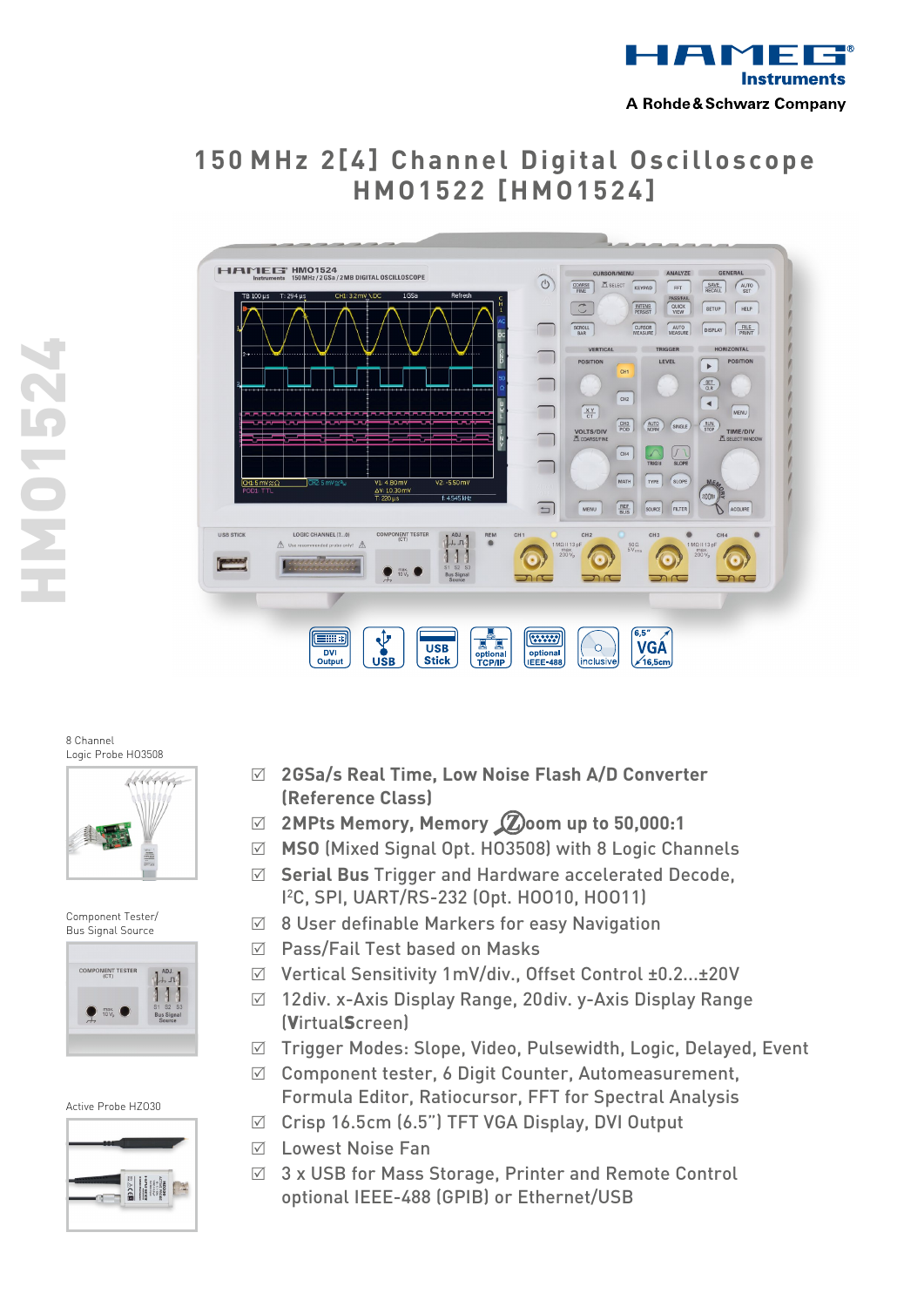

# **1 5 0 MHz 2 [ 4 ] C h a n n e l Di gi t a l O sci l l o sc o p e HMO 1 5 2 2 [HMO 1 5 2 4 ]**



8 Channel Logic Probe HO3508

HMO1524

**7ZSLONH** 



Component Tester/ Bus Signal Source



#### Active Probe HZO30



- R **2 GSa/s Real Time, Low Noise Flash A/D Converter (Reference Class)**
- R **2 MPts Memory, Memory oom up to 50,000:1**
- R **MSO** (Mixed Signal Opt. HO3508) with 8 Logic Channels
- R **Serial Bus** Trigger and Hardware accelerated Decode, I 2 C, SPI, UART/RS-232 (Opt. HOO10, HOO11)
- $\boxtimes$  8 User definable Markers for easy Navigation
- $\boxtimes$  Pass/Fail Test based on Masks
- R Vertical Sensitivity 1mV/div., Offset Control ±0.2...±20V
- R 12div. x-Axis Display Range, 20div. y-Axis Display Range (VirtualScreen)
- R Trigger Modes: Slope, Video, Pulsewidth, Logic, Delayed, Event
- $\boxtimes$  Component tester, 6 Digit Counter, Automeasurement, Formula Editor, Ratiocursor, FFT for Spectral Analysis
- $\boxtimes$  Crisp 16.5cm (6.5") TFT VGA Display, DVI Output
- $\nabla$  Lowest Noise Fan
- $\boxtimes$  3 x USB for Mass Storage, Printer and Remote Control optional IEEE-488 (GPIB) or Ethernet/USB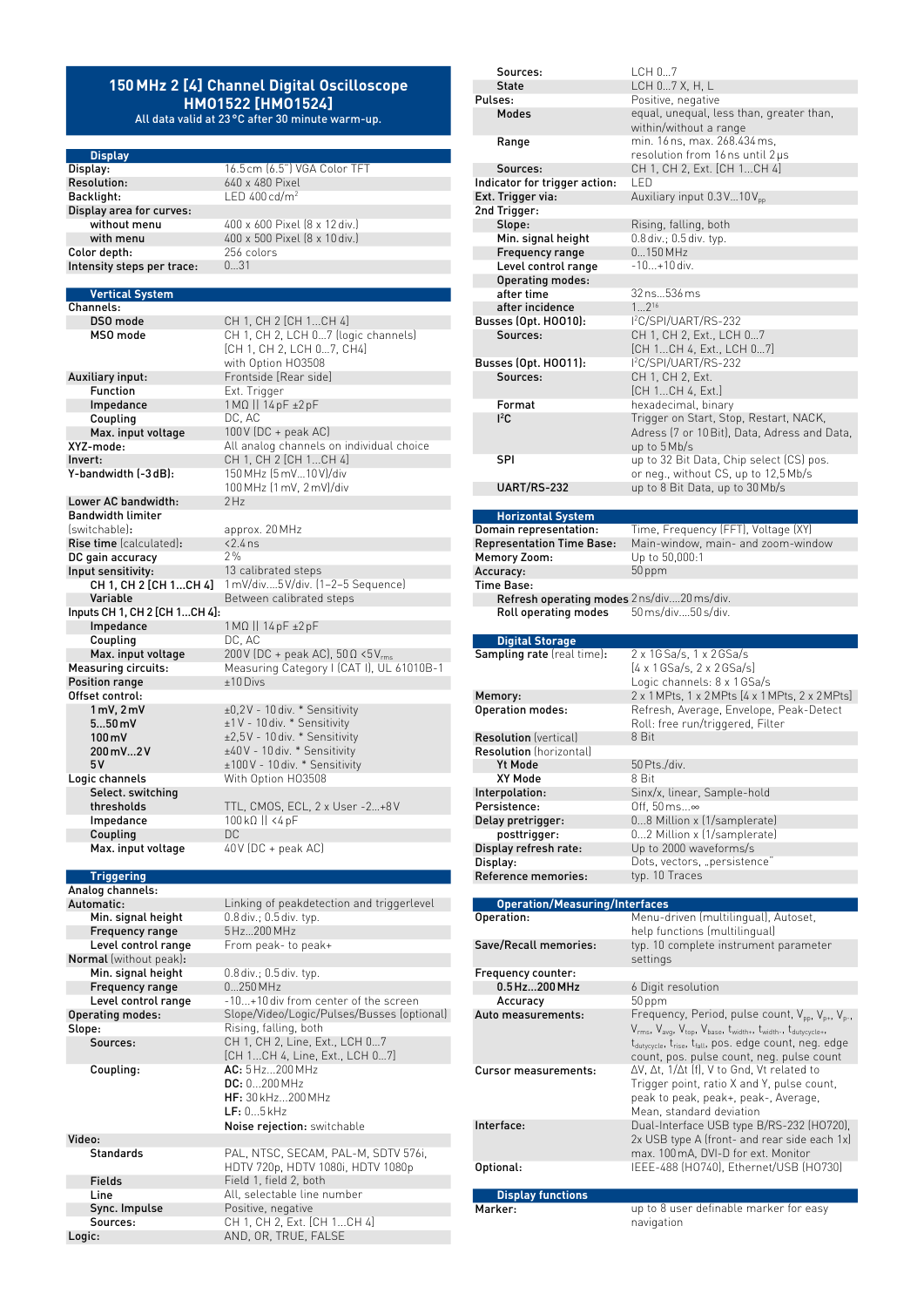## **150MHz 2 [4] Channel Digital Oscilloscope HMO1522 [HMO1524]**

All data valid at 23°C after 30 minute warm-up.

LED  $400 \text{ cd/m}^2$ 

1 MΩ || 14 pF ±2 pF<br>DC, AC

100MHz (1mV, 2mV)/div

1 mV/div....5 V/div. (1-2-5 Sequence)

 $200V$  (DC + peak AC),  $50\Omega$  <5V<sub>rm</sub>

CH 1, CH 2, LCH 0...7 (logic channels) [CH 1, CH 2, LCH 0…7, CH4] with Option HO3508

**Display** Display: 16.5cm (6.5") VGA Color TFT<br>
Resolution: 640 x 480 Pixel **Resolution:** 640 x 480 Pixel<br>**Backlight:** LED 400 cd/m<sup>2</sup> Display area for curves: without menu 400 x 600 Pixel (8 x 12 div.) with menu  $400 \times 500$  Pixel  $(8 \times 10)$  div.)<br>or depth:  $256$  colors **Color depth:**  $256 \text{ cm}$ <br>Intensity steps per trace:  $0...31$ Intensity steps per trace:

#### **Vertical System**

Channels: **DSO mode** CH 1, CH 2 [CH 1...CH 4]<br> **MSO mode** CH 1, CH 2, LCH 0...7 (log

Auxiliary input: Frontside [Rear side] **Function** Ext. Trigger<br> **Impedance** 1 MQ || 14 pl Coupling<br>Max. input voltage Max. input voltage 100V (DC + peak AC)<br>XYZ-mode: All analog channels c XYZ-mode: All analog channels on individual choice **Invert:** CH 1, CH 2 [CH 1...CH 4] Y-bandwidth (-3dB): 150 MHz (5mV...10V)/div

Lower AC bandwidth: Bandwidth limiter (switchable): approx. 20MHz **Rise time** (calculated):  $\times 2.4$  ns<br>DC gain accuracy 2% DC gain accuracy<br>Input sensitivity: It sensitivity:  $13$  calibrated steps<br>CH 1, CH 2 [CH 1...CH 4]  $1 \text{ mV/div}$ ....5V/div. [1 Variable **Between** calibrated steps Inputs CH 1, CH 2 [CH 1…CH 4]: Impedance 1MΩ || 14pF ±2pF Coupling DC, AC<br>
Max. input voltage 200V (D Measuring circuits: Measuring Category | (CAT I), UL 61010B-1<br>
Position range the state of the state of the state of the state of the state of the state of the state of the Position range Offset control:<br>1mV, 2mV 1 mV, 2 mV  $\pm 0.2$ V - 10 div. \* Sensitivity<br>5...50 mV  $\pm 1$ V - 10 div. \* Sensitivity **5…50 mV**  $\pm 1$  V - 10 div. \* Sensitivity<br>**100 mV**  $\pm 2.5$  V - 10 div. \* Sensitivity **100 mV**  $\pm 2.5V - 10 \text{ div.}$  \* Sensitivity<br>**200 mV...2V**  $\pm 40V - 10 \text{ div.}$  \* Sensitivity  $200 \,\mathrm{mV}$ …2V  $\pm 40 \,\mathrm{V}$  - 10 div.  $*$  Sensitivity 5V  $±100V - 10$  div. \* Sensitivity Logic channels With Option HO3508 Select. switching<br>thresholds

TTL, CMOS, ECL, 2 x User -2...+8V Impedance 100kΩ || <4pF **Coupling** DC<br> **Max.** input voltage 40  $40V$  (DC + peak AC)

#### **Triggering** Analog channels:

Automatic: Linking of peakdetection and triggerlevel Min. signal height 0.8 div.; 0.5 div. typ. Frequency range 5Hz...200 MHz Level control range From peak- to peak+ Normal (without peak): **Min. signal height** 0.8 div.; 0.5 div. typ.<br> **Frequency range** 0...250 MHz Frequency range Level control range  $-10...+10$  div from center of the screen<br>Operating modes: Slope/Video/Logic/Pulses/Busses (opt Operating modes: Slope/Video/Logic/Pulses/Busses (optional)<br>
Slope: Rising, falling, both pe: The Contract of the Rising, falling, both<br>
Sources: The CH 1, CH 2, Line, Expansion Coupling: AC: 5Hz...200MHz

|                  | LF: 05kHz                                                                |
|------------------|--------------------------------------------------------------------------|
|                  | Noise rejection: switchable                                              |
| Video:           |                                                                          |
| <b>Standards</b> | PAL, NTSC, SECAM, PAL-M, SDTV 576i,<br>HDTV 720p, HDTV 1080i, HDTV 1080p |
| Fields           | Field 1, field 2, both                                                   |
| Line             | All, selectable line number                                              |
| Sync. Impulse    | Positive, negative                                                       |
| Sources:         | CH 1, CH 2, Ext. [CH 1CH 4]                                              |
| Logic:           | AND, OR, TRUE, FALSE                                                     |
|                  |                                                                          |

DC: 0...200MHz HF: 30kHz...200MHz

CH 1, CH 2, Line, Ext., LCH 0...7 [CH 1...CH 4, Line, Ext., LCH 0…7]

| Sources:                                          | LCH 07                                                                                                                                             |
|---------------------------------------------------|----------------------------------------------------------------------------------------------------------------------------------------------------|
| <b>State</b>                                      | LCH 07 X, H, L                                                                                                                                     |
| Pulses:                                           | Positive, negative                                                                                                                                 |
| <b>Modes</b>                                      | equal, unequal, less than, greater than,<br>within/without a range                                                                                 |
| Range                                             | min. 16 ns, max. 268.434 ms,<br>resolution from 16 ns until 2 µs                                                                                   |
| Sources:                                          | CH 1, CH 2, Ext. [CH 1CH 4]                                                                                                                        |
| Indicator for trigger action:                     | I FD                                                                                                                                               |
| Ext. Trigger via:                                 | Auxiliary input 0.3V10V <sub>pp</sub>                                                                                                              |
| 2nd Trigger:                                      |                                                                                                                                                    |
| Slope:                                            | Rising, falling, both                                                                                                                              |
| Min. signal height                                | 0.8 div.; 0.5 div. typ.                                                                                                                            |
| Frequency range                                   | $0150$ MHz                                                                                                                                         |
| Level control range                               | -10+10 div.                                                                                                                                        |
| <b>Operating modes:</b>                           |                                                                                                                                                    |
| after time                                        | 32 ns536 ms                                                                                                                                        |
| after incidence                                   | $12^{16}$                                                                                                                                          |
| <b>Busses (Opt. H0010):</b>                       | I <sup>2</sup> C/SPI/UART/RS-232                                                                                                                   |
| Sources:                                          | CH 1, CH 2, Ext., LCH 07                                                                                                                           |
|                                                   | [CH 1CH 4, Ext., LCH 07]                                                                                                                           |
| <b>Busses (Opt. HOO11):</b>                       | I <sup>2</sup> C/SPI/UART/RS-232                                                                                                                   |
| Sources:                                          | CH 1, CH 2, Ext.                                                                                                                                   |
|                                                   | [CH 1CH 4, Ext.]                                                                                                                                   |
| Format                                            | hexadecimal, binary                                                                                                                                |
| $1^2C$                                            | Trigger on Start, Stop, Restart, NACK,                                                                                                             |
|                                                   | Adress (7 or 10 Bit), Data, Adress and Data,                                                                                                       |
|                                                   | up to 5 Mb/s                                                                                                                                       |
| SPI                                               | up to 32 Bit Data, Chip select (CS) pos.                                                                                                           |
|                                                   | or neg., without CS, up to 12,5 Mb/s                                                                                                               |
| UART/RS-232                                       | up to 8 Bit Data, up to 30 Mb/s                                                                                                                    |
|                                                   |                                                                                                                                                    |
| <b>Horizontal System</b>                          |                                                                                                                                                    |
| Domain representation:                            | Time, Frequency (FFT), Voltage (XY)                                                                                                                |
| <b>Representation Time Base:</b>                  | Main-window, main- and zoom-window                                                                                                                 |
| <b>Memory Zoom:</b>                               | Up to 50,000:1                                                                                                                                     |
| Accuracy:                                         | 50 ppm                                                                                                                                             |
| Time Base:                                        |                                                                                                                                                    |
| <b>Refresh operating modes</b> 2 ns/div20 ms/div. |                                                                                                                                                    |
| <b>Roll operating modes</b>                       | 50 ms/div50 s/div.                                                                                                                                 |
|                                                   |                                                                                                                                                    |
|                                                   |                                                                                                                                                    |
| <b>Digital Storage</b>                            |                                                                                                                                                    |
| <b>Sampling rate</b> (real time):                 | 2 x 1G Sa/s, 1 x 2 GSa/s                                                                                                                           |
|                                                   | $[4 \times 1$ GSa/s, 2 x 2 GSa/s]                                                                                                                  |
|                                                   | Logic channels: 8 x 1 GSa/s                                                                                                                        |
| Memory:                                           | 2 x 1 MPts, 1 x 2 MPts [4 x 1 MPts, 2 x 2 MPts]                                                                                                    |
| <b>Operation modes:</b>                           | Refresh, Average, Envelope, Peak-Detect                                                                                                            |
|                                                   | Roll: free run/triggered, Filter                                                                                                                   |
| <b>Resolution</b> (vertical)                      | 8 Bit                                                                                                                                              |
| <b>Resolution</b> (horizontal)                    |                                                                                                                                                    |
| Yt Mode                                           | 50 Pts./div.                                                                                                                                       |
| XY Mode                                           | 8 Bit                                                                                                                                              |
| Interpolation:                                    | Sinx/x, linear, Sample-hold                                                                                                                        |
| Persistence:                                      | Off, $50 \,\mathrm{ms}$ $\infty$                                                                                                                   |
| Delay pretrigger:                                 | 08 Million x (1/samplerate)                                                                                                                        |
| posttrigger:                                      | 02 Million x (1/samplerate)                                                                                                                        |
| Display refresh rate:                             | Up to 2000 waveforms/s                                                                                                                             |
| Display:                                          | Dots, vectors, "persistence"                                                                                                                       |
| Reference memories:                               | typ. 10 Traces                                                                                                                                     |
|                                                   |                                                                                                                                                    |
| <b>Operation/Measuring/Interfaces</b>             |                                                                                                                                                    |
| Operation:                                        | Menu-driven (multilingual), Autoset,                                                                                                               |
|                                                   | help functions (multilingual)                                                                                                                      |
| Save/Recall memories:                             | typ. 10 complete instrument parameter                                                                                                              |
|                                                   | settings                                                                                                                                           |
| Frequency counter:                                |                                                                                                                                                    |
| 0.5 Hz200 MHz                                     | 6 Digit resolution                                                                                                                                 |
| Accuracy                                          | 50 ppm                                                                                                                                             |
| Auto measurements:                                | Frequency, Period, pulse count, V <sub>pp</sub> , V <sub>p+</sub> , V <sub>p-</sub> ,                                                              |
|                                                   | V <sub>rms</sub> , V <sub>avg</sub> , V <sub>top</sub> , V <sub>base</sub> , t <sub>width+</sub> , t <sub>width-</sub> , t <sub>dutycycle+</sub> , |
|                                                   | t <sub>dutycycle</sub> , t <sub>rise</sub> , t <sub>fall</sub> , pos. edge count, neg. edge                                                        |
|                                                   | count, pos. pulse count, neg. pulse count                                                                                                          |
| <b>Cursor measurements:</b>                       | ΔV, Δt, 1/Δt (f), V to Gnd, Vt related to                                                                                                          |
|                                                   | Trigger point, ratio X and Y, pulse count,                                                                                                         |
|                                                   | peak to peak, peak+, peak-, Average,                                                                                                               |
|                                                   | Mean, standard deviation                                                                                                                           |
| Interface:                                        | Dual-Interface USB type B/RS-232 (H0720),                                                                                                          |
|                                                   | 2x USB type A (front- and rear side each 1x)                                                                                                       |
|                                                   | max. 100 mA, DVI-D for ext. Monitor                                                                                                                |
| Optional:                                         | IEEE-488 (H0740), Ethernet/USB (H0730)                                                                                                             |
|                                                   |                                                                                                                                                    |
| <b>Display functions</b>                          |                                                                                                                                                    |
| Marker:                                           | up to 8 user definable marker for easy<br>navigation                                                                                               |